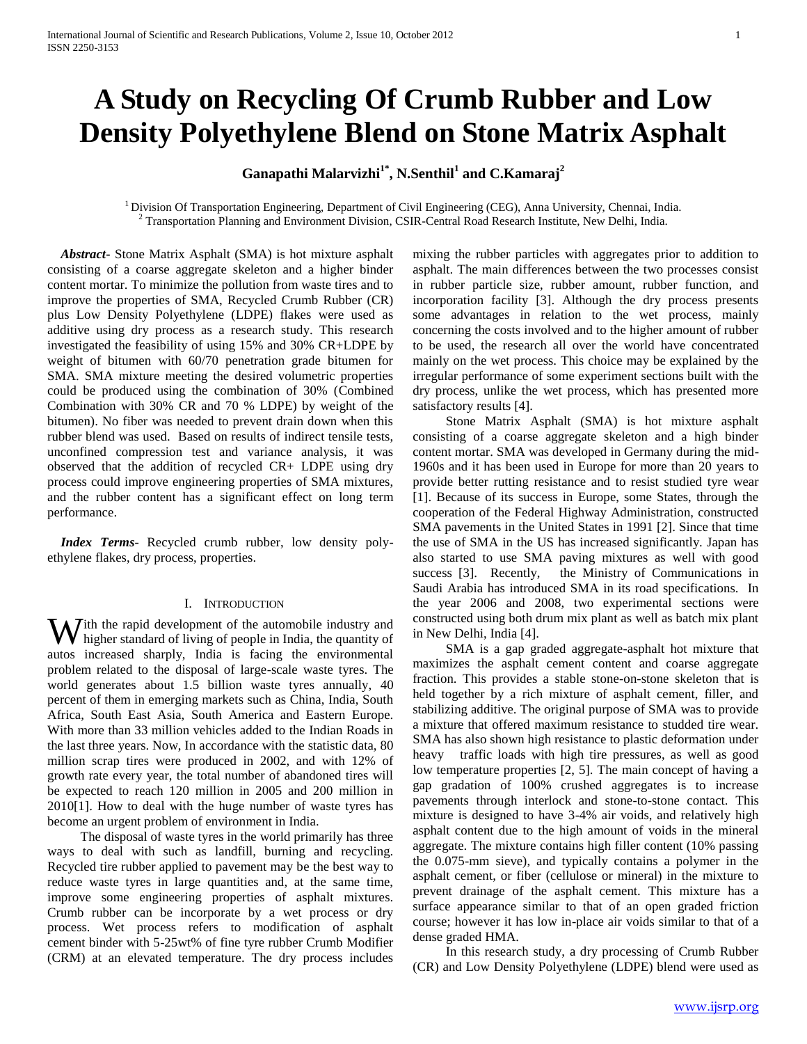# **A Study on Recycling Of Crumb Rubber and Low Density Polyethylene Blend on Stone Matrix Asphalt**

# **Ganapathi Malarvizhi1\*, N.Senthil<sup>1</sup> and C.Kamaraj<sup>2</sup>**

<sup>1</sup> Division Of Transportation Engineering, Department of Civil Engineering (CEG), Anna University, Chennai, India. <sup>2</sup> Transportation Planning and Environment Division, CSIR-Central Road Research Institute, New Delhi, India.

 *Abstract***-** Stone Matrix Asphalt (SMA) is hot mixture asphalt consisting of a coarse aggregate skeleton and a higher binder content mortar. To minimize the pollution from waste tires and to improve the properties of SMA, Recycled Crumb Rubber (CR) plus Low Density Polyethylene (LDPE) flakes were used as additive using dry process as a research study. This research investigated the feasibility of using 15% and 30% CR+LDPE by weight of bitumen with 60/70 penetration grade bitumen for SMA. SMA mixture meeting the desired volumetric properties could be produced using the combination of 30% (Combined Combination with 30% CR and 70 % LDPE) by weight of the bitumen). No fiber was needed to prevent drain down when this rubber blend was used. Based on results of indirect tensile tests, unconfined compression test and variance analysis, it was observed that the addition of recycled CR+ LDPE using dry process could improve engineering properties of SMA mixtures, and the rubber content has a significant effect on long term performance.

 *Index Terms*- Recycled crumb rubber, low density polyethylene flakes, dry process, properties.

#### I. INTRODUCTION

**W** ith the rapid development of the automobile industry and higher standard of living of people in India, the quantity of higher standard of living of people in India, the quantity of autos increased sharply, India is facing the environmental problem related to the disposal of large-scale waste tyres. The world generates about 1.5 billion waste tyres annually, 40 percent of them in emerging markets such as China, India, South Africa, South East Asia, South America and Eastern Europe. With more than 33 million vehicles added to the Indian Roads in the last three years. Now, In accordance with the statistic data, 80 million scrap tires were produced in 2002, and with 12% of growth rate every year, the total number of abandoned tires will be expected to reach 120 million in 2005 and 200 million in 2010[1]. How to deal with the huge number of waste tyres has become an urgent problem of environment in India.

 The disposal of waste tyres in the world primarily has three ways to deal with such as landfill, burning and recycling. Recycled tire rubber applied to pavement may be the best way to reduce waste tyres in large quantities and, at the same time, improve some engineering properties of asphalt mixtures. Crumb rubber can be incorporate by a wet process or dry process. Wet process refers to modification of asphalt cement binder with 5-25wt% of fine tyre rubber Crumb Modifier (CRM) at an elevated temperature. The dry process includes

mixing the rubber particles with aggregates prior to addition to asphalt. The main differences between the two processes consist in rubber particle size, rubber amount, rubber function, and incorporation facility [3]. Although the dry process presents some advantages in relation to the wet process, mainly concerning the costs involved and to the higher amount of rubber to be used, the research all over the world have concentrated mainly on the wet process. This choice may be explained by the irregular performance of some experiment sections built with the dry process, unlike the wet process, which has presented more satisfactory results [4].

 Stone Matrix Asphalt (SMA) is hot mixture asphalt consisting of a coarse aggregate skeleton and a high binder content mortar. SMA was developed in Germany during the mid-1960s and it has been used in Europe for more than 20 years to provide better rutting resistance and to resist studied tyre wear [1]. Because of its success in Europe, some States, through the cooperation of the Federal Highway Administration, constructed SMA pavements in the United States in 1991 [2]. Since that time the use of SMA in the US has increased significantly. Japan has also started to use SMA paving mixtures as well with good success [3]. Recently, the Ministry of Communications in Saudi Arabia has introduced SMA in its road specifications. In the year 2006 and 2008, two experimental sections were constructed using both drum mix plant as well as batch mix plant in New Delhi, India [4].

 SMA is a gap graded aggregate-asphalt hot mixture that maximizes the asphalt cement content and coarse aggregate fraction. This provides a stable stone-on-stone skeleton that is held together by a rich mixture of asphalt cement, filler, and stabilizing additive. The original purpose of SMA was to provide a mixture that offered maximum resistance to studded tire wear. SMA has also shown high resistance to plastic deformation under heavy traffic loads with high tire pressures, as well as good low temperature properties [2, 5]. The main concept of having a gap gradation of 100% crushed aggregates is to increase pavements through interlock and stone-to-stone contact. This mixture is designed to have 3-4% air voids, and relatively high asphalt content due to the high amount of voids in the mineral aggregate. The mixture contains high filler content (10% passing the 0.075-mm sieve), and typically contains a polymer in the asphalt cement, or fiber (cellulose or mineral) in the mixture to prevent drainage of the asphalt cement. This mixture has a surface appearance similar to that of an open graded friction course; however it has low in-place air voids similar to that of a dense graded HMA.

 In this research study, a dry processing of Crumb Rubber (CR) and Low Density Polyethylene (LDPE) blend were used as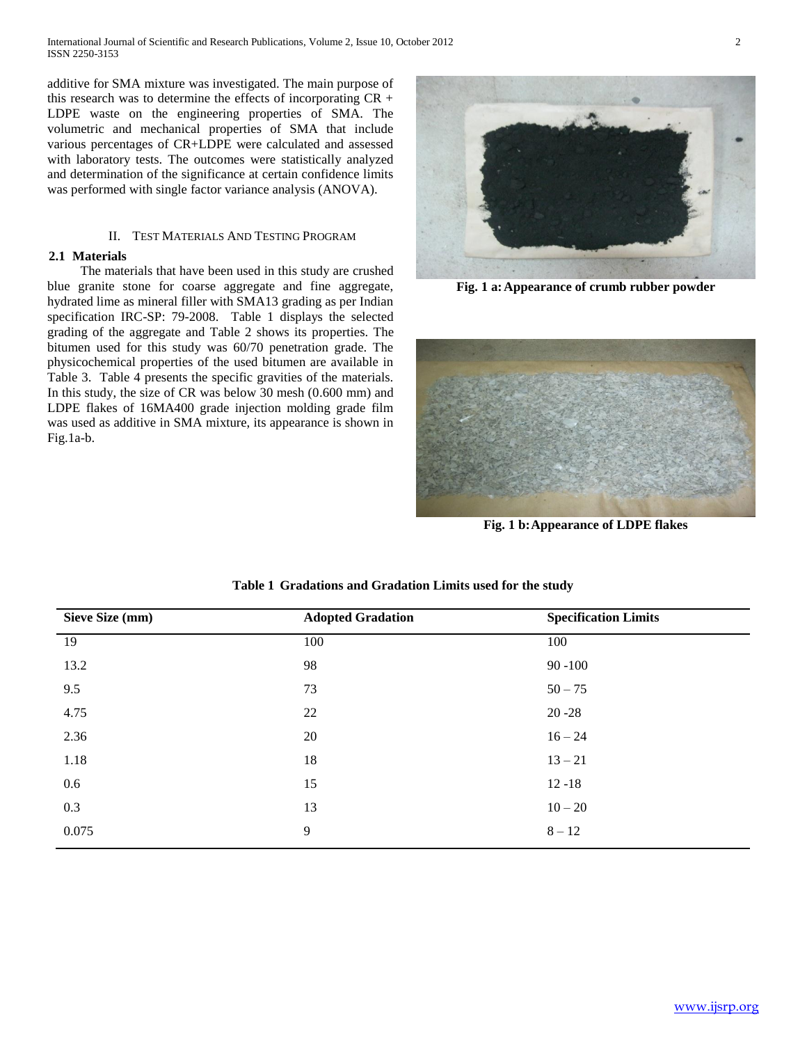additive for SMA mixture was investigated. The main purpose of this research was to determine the effects of incorporating CR + LDPE waste on the engineering properties of SMA. The volumetric and mechanical properties of SMA that include various percentages of CR+LDPE were calculated and assessed with laboratory tests. The outcomes were statistically analyzed and determination of the significance at certain confidence limits was performed with single factor variance analysis (ANOVA).

#### II. TEST MATERIALS AND TESTING PROGRAM

#### **2.1 Materials**

 The materials that have been used in this study are crushed blue granite stone for coarse aggregate and fine aggregate, hydrated lime as mineral filler with SMA13 grading as per Indian specification IRC-SP: 79-2008. Table 1 displays the selected grading of the aggregate and Table 2 shows its properties. The bitumen used for this study was 60/70 penetration grade. The physicochemical properties of the used bitumen are available in Table 3. Table 4 presents the specific gravities of the materials. In this study, the size of CR was below 30 mesh (0.600 mm) and LDPE flakes of 16MA400 grade injection molding grade film was used as additive in SMA mixture, its appearance is shown in Fig.1a-b.



**Fig. 1 a:Appearance of crumb rubber powder**



**Fig. 1 b:Appearance of LDPE flakes**

| Sieve Size (mm) | <b>Adopted Gradation</b> | <b>Specification Limits</b> |
|-----------------|--------------------------|-----------------------------|
| 19              | 100                      | 100                         |
| 13.2            | 98                       | $90 - 100$                  |
| 9.5             | 73                       | $50 - 75$                   |
| 4.75            | 22                       | $20 - 28$                   |
| 2.36            | 20                       | $16 - 24$                   |
| 1.18            | 18                       | $13 - 21$                   |
| 0.6             | 15                       | $12 - 18$                   |
| 0.3             | 13                       | $10 - 20$                   |
| 0.075           | 9                        | $8 - 12$                    |

**Table 1 Gradations and Gradation Limits used for the study**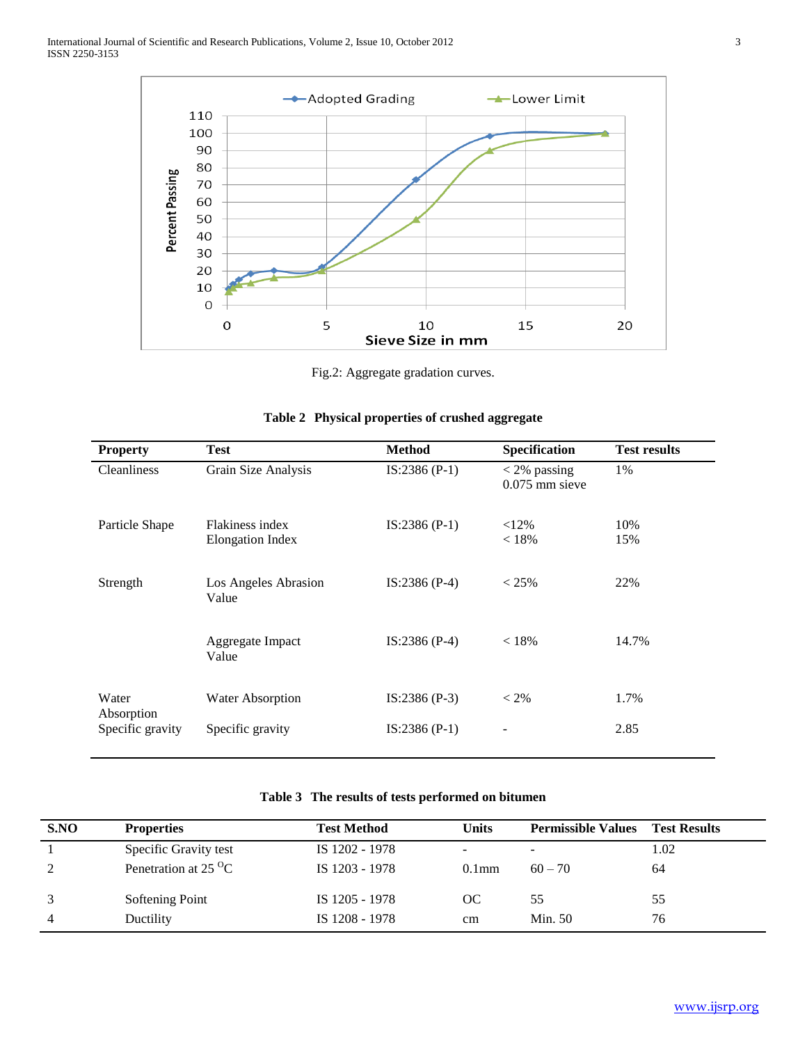

Fig.2: Aggregate gradation curves.

| <b>Property</b>                | <b>Test</b>                                | <b>Method</b>  | Specification                      | <b>Test results</b> |
|--------------------------------|--------------------------------------------|----------------|------------------------------------|---------------------|
| <b>Cleanliness</b>             | Grain Size Analysis                        | $IS:2386(P-1)$ | $<$ 2% passing<br>$0.075$ mm sieve | 1%                  |
| Particle Shape                 | Flakiness index<br><b>Elongation Index</b> | $IS:2386(P-1)$ | $< 12\%$<br>< 18%                  | 10%<br>15%          |
| Strength                       | Los Angeles Abrasion<br>Value              | $IS:2386(P-4)$ | $< 25\%$                           | 22%                 |
|                                | Aggregate Impact<br>Value                  | $IS:2386(P-4)$ | < 18%                              | 14.7%               |
| Water                          | <b>Water Absorption</b>                    | $IS:2386(P-3)$ | $< 2\%$                            | 1.7%                |
| Absorption<br>Specific gravity | Specific gravity                           | $IS:2386(P-1)$ | -                                  | 2.85                |

## **Table 2 Physical properties of crushed aggregate**

# **Table 3 The results of tests performed on bitumen**

| S.NO           | <b>Properties</b>                      | <b>Test Method</b> | <b>Units</b>      | <b>Permissible Values</b> | <b>Test Results</b> |
|----------------|----------------------------------------|--------------------|-------------------|---------------------------|---------------------|
|                | Specific Gravity test                  | IS 1202 - 1978     |                   |                           | 1.02                |
| 2              | Penetration at 25 $\mathrm{^{\circ}C}$ | IS 1203 - 1978     | 0.1 <sub>mm</sub> | $60 - 70$                 | 64                  |
| 3              | Softening Point                        | IS 1205 - 1978     | OC.               | 55                        | 55                  |
| $\overline{4}$ | Ductility                              | IS 1208 - 1978     | cm                | Min. 50                   | 76                  |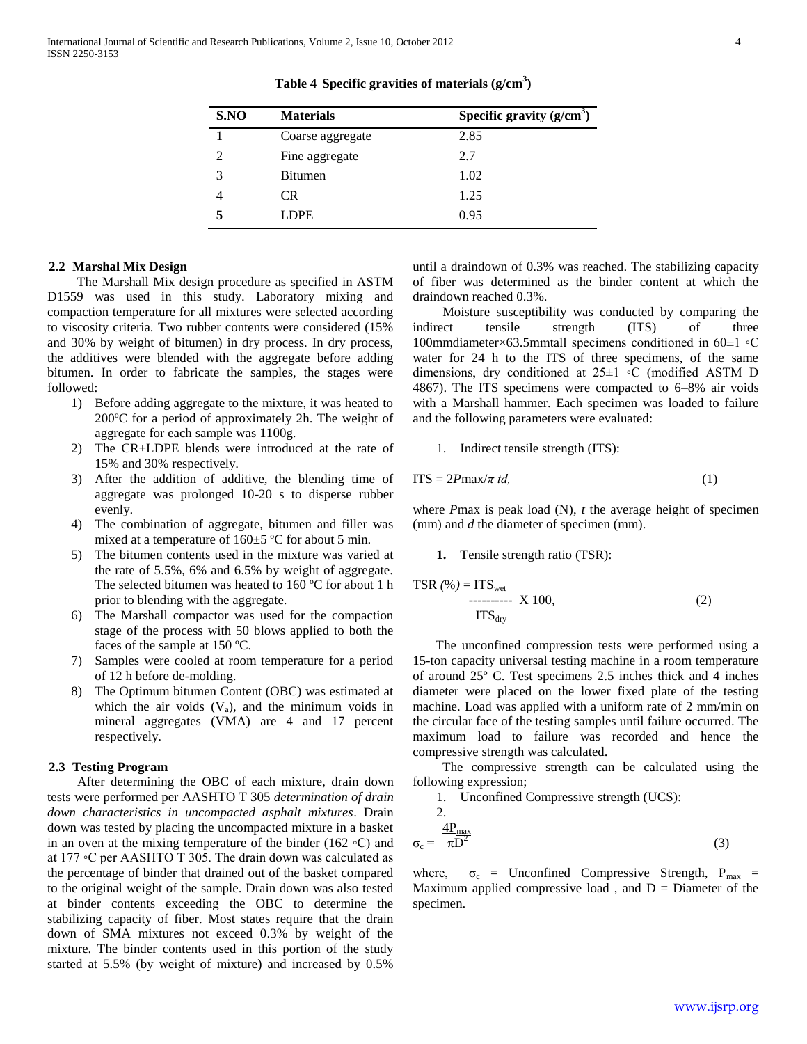| S.NO | <b>Materials</b> | Specific gravity $(g/cm3)$ |
|------|------------------|----------------------------|
|      | Coarse aggregate | 2.85                       |
|      | Fine aggregate   | 2.7                        |
| 3    | <b>Bitumen</b>   | 1.02                       |
|      | <b>CR</b>        | 1.25                       |
|      | LDPE             | 0.95                       |

**Table 4 Specific gravities of materials (g/cm<sup>3</sup> )**

#### **2.2 Marshal Mix Design**

 The Marshall Mix design procedure as specified in ASTM D1559 was used in this study. Laboratory mixing and compaction temperature for all mixtures were selected according to viscosity criteria. Two rubber contents were considered (15% and 30% by weight of bitumen) in dry process. In dry process, the additives were blended with the aggregate before adding bitumen. In order to fabricate the samples, the stages were followed:

- 1) Before adding aggregate to the mixture, it was heated to 200ºC for a period of approximately 2h. The weight of aggregate for each sample was 1100g.
- 2) The CR+LDPE blends were introduced at the rate of 15% and 30% respectively.
- 3) After the addition of additive, the blending time of aggregate was prolonged 10-20 s to disperse rubber evenly.
- 4) The combination of aggregate, bitumen and filler was mixed at a temperature of 160±5 ºC for about 5 min.
- 5) The bitumen contents used in the mixture was varied at the rate of 5.5%, 6% and 6.5% by weight of aggregate. The selected bitumen was heated to 160 ºC for about 1 h prior to blending with the aggregate.
- 6) The Marshall compactor was used for the compaction stage of the process with 50 blows applied to both the faces of the sample at 150 ºC.
- 7) Samples were cooled at room temperature for a period of 12 h before de-molding.
- 8) The Optimum bitumen Content (OBC) was estimated at which the air voids  $(V_a)$ , and the minimum voids in mineral aggregates (VMA) are 4 and 17 percent respectively.

#### **2.3 Testing Program**

 After determining the OBC of each mixture, drain down tests were performed per AASHTO T 305 *determination of drain down characteristics in uncompacted asphalt mixtures*. Drain down was tested by placing the uncompacted mixture in a basket in an oven at the mixing temperature of the binder (162 ◦C) and at 177 ◦C per AASHTO T 305. The drain down was calculated as the percentage of binder that drained out of the basket compared to the original weight of the sample. Drain down was also tested at binder contents exceeding the OBC to determine the stabilizing capacity of fiber. Most states require that the drain down of SMA mixtures not exceed 0.3% by weight of the mixture. The binder contents used in this portion of the study started at 5.5% (by weight of mixture) and increased by 0.5%

until a draindown of 0.3% was reached. The stabilizing capacity of fiber was determined as the binder content at which the draindown reached 0.3%.

 Moisture susceptibility was conducted by comparing the indirect tensile strength (ITS) of three 100mmdiameter×63.5mmtall specimens conditioned in 60±1 ◦C water for 24 h to the ITS of three specimens, of the same dimensions, dry conditioned at 25±1 ◦C (modified ASTM D 4867). The ITS specimens were compacted to 6–8% air voids with a Marshall hammer. Each specimen was loaded to failure and the following parameters were evaluated:

1. Indirect tensile strength (ITS):

$$
ITS = 2Pmax/\pi t d, \qquad (1)
$$

where *P*max is peak load (N), *t* the average height of specimen (mm) and *d* the diameter of specimen (mm).

#### **1.** Tensile strength ratio (TSR):

$$
TSR (\% ) = ITS_{wet} \tX 100, \t(T2)
$$

 The unconfined compression tests were performed using a 15-ton capacity universal testing machine in a room temperature of around 25º C. Test specimens 2.5 inches thick and 4 inches diameter were placed on the lower fixed plate of the testing machine. Load was applied with a uniform rate of 2 mm/min on the circular face of the testing samples until failure occurred. The maximum load to failure was recorded and hence the compressive strength was calculated.

 The compressive strength can be calculated using the following expression;

1. Unconfined Compressive strength (UCS):

2.

$$
\sigma_{\rm c} = \frac{4P_{\rm max}}{\pi D^2} \tag{3}
$$

where,  $\sigma_c$  = Unconfined Compressive Strength,  $P_{\text{max}}$  = Maximum applied compressive load, and  $D =$  Diameter of the specimen.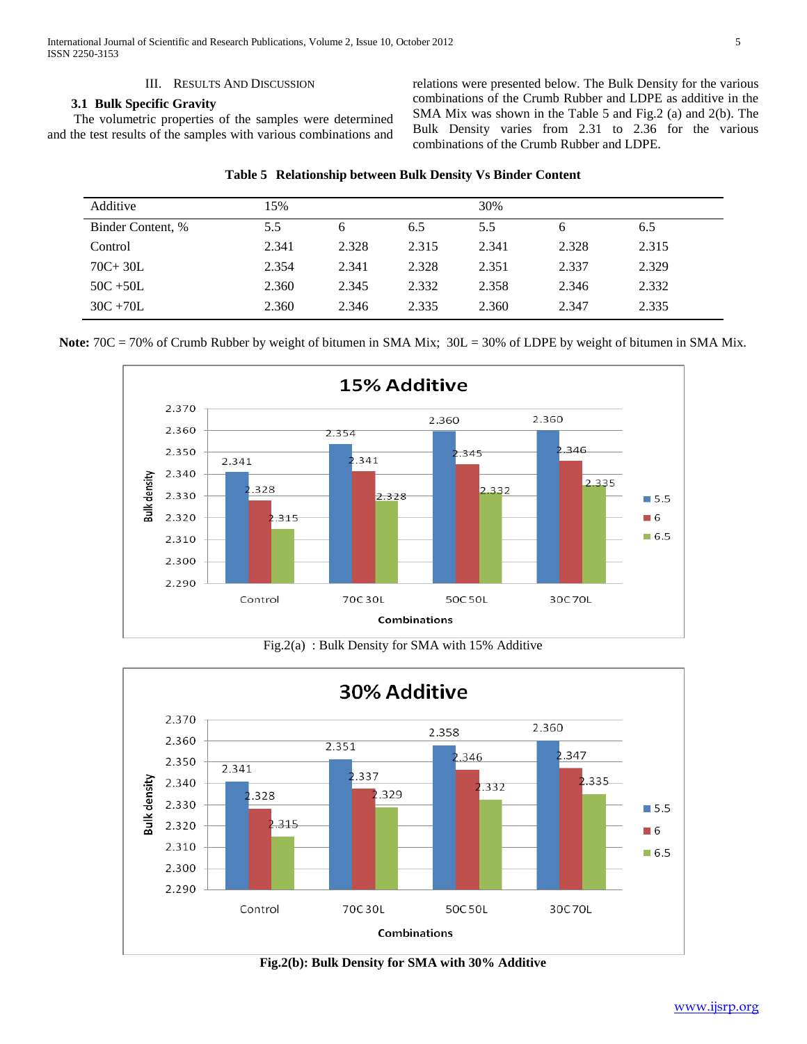#### III. RESULTS AND DISCUSSION

## **3.1 Bulk Specific Gravity**

 The volumetric properties of the samples were determined and the test results of the samples with various combinations and

relations were presented below. The Bulk Density for the various combinations of the Crumb Rubber and LDPE as additive in the SMA Mix was shown in the Table 5 and Fig.2 (a) and 2(b). The Bulk Density varies from 2.31 to 2.36 for the various combinations of the Crumb Rubber and LDPE.

| Additive          | 15%   |       |       | 30%   |       |       |
|-------------------|-------|-------|-------|-------|-------|-------|
| Binder Content, % | 5.5   | 6     | 6.5   | 5.5   | 6     | 6.5   |
| Control           | 2.341 | 2.328 | 2.315 | 2.341 | 2.328 | 2.315 |
| $70C + 30L$       | 2.354 | 2.341 | 2.328 | 2.351 | 2.337 | 2.329 |
| $50C + 50L$       | 2.360 | 2.345 | 2.332 | 2.358 | 2.346 | 2.332 |
| $30C + 70L$       | 2.360 | 2.346 | 2.335 | 2.360 | 2.347 | 2.335 |

| Table 5 Relationship between Bulk Density Vs Binder Content |  |  |  |  |  |  |  |  |
|-------------------------------------------------------------|--|--|--|--|--|--|--|--|
|-------------------------------------------------------------|--|--|--|--|--|--|--|--|

Note:  $70C = 70%$  of Crumb Rubber by weight of bitumen in SMA Mix;  $30L = 30%$  of LDPE by weight of bitumen in SMA Mix.



Fig.2(a) : Bulk Density for SMA with 15% Additive



**Fig.2(b): Bulk Density for SMA with 30% Additive**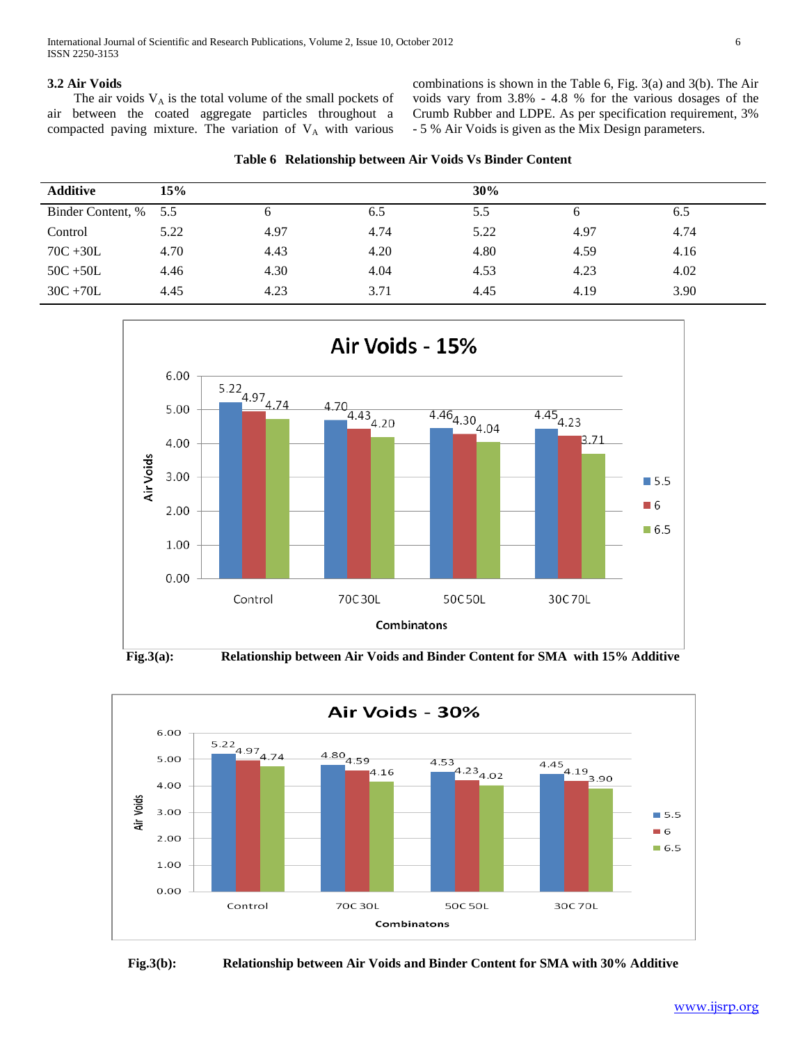#### **3.2 Air Voids**

The air voids  $V_A$  is the total volume of the small pockets of air between the coated aggregate particles throughout a compacted paving mixture. The variation of  $V_A$  with various combinations is shown in the Table 6, Fig. 3(a) and 3(b). The Air voids vary from 3.8% - 4.8 % for the various dosages of the Crumb Rubber and LDPE. As per specification requirement, 3% - 5 % Air Voids is given as the Mix Design parameters.

|  | Table 6 Relationship between Air Voids Vs Binder Content |  |  |  |  |  |
|--|----------------------------------------------------------|--|--|--|--|--|
|--|----------------------------------------------------------|--|--|--|--|--|

| <b>Additive</b>       | 15%  |      |      | 30%  |      |      |  |
|-----------------------|------|------|------|------|------|------|--|
| Binder Content, % 5.5 |      | O    | 6.5  | 5.5  | h    | 6.5  |  |
| Control               | 5.22 | 4.97 | 4.74 | 5.22 | 4.97 | 4.74 |  |
| $70C + 30L$           | 4.70 | 4.43 | 4.20 | 4.80 | 4.59 | 4.16 |  |
| $50C + 50L$           | 4.46 | 4.30 | 4.04 | 4.53 | 4.23 | 4.02 |  |
| $30C + 70L$           | 4.45 | 4.23 | 3.71 | 4.45 | 4.19 | 3.90 |  |





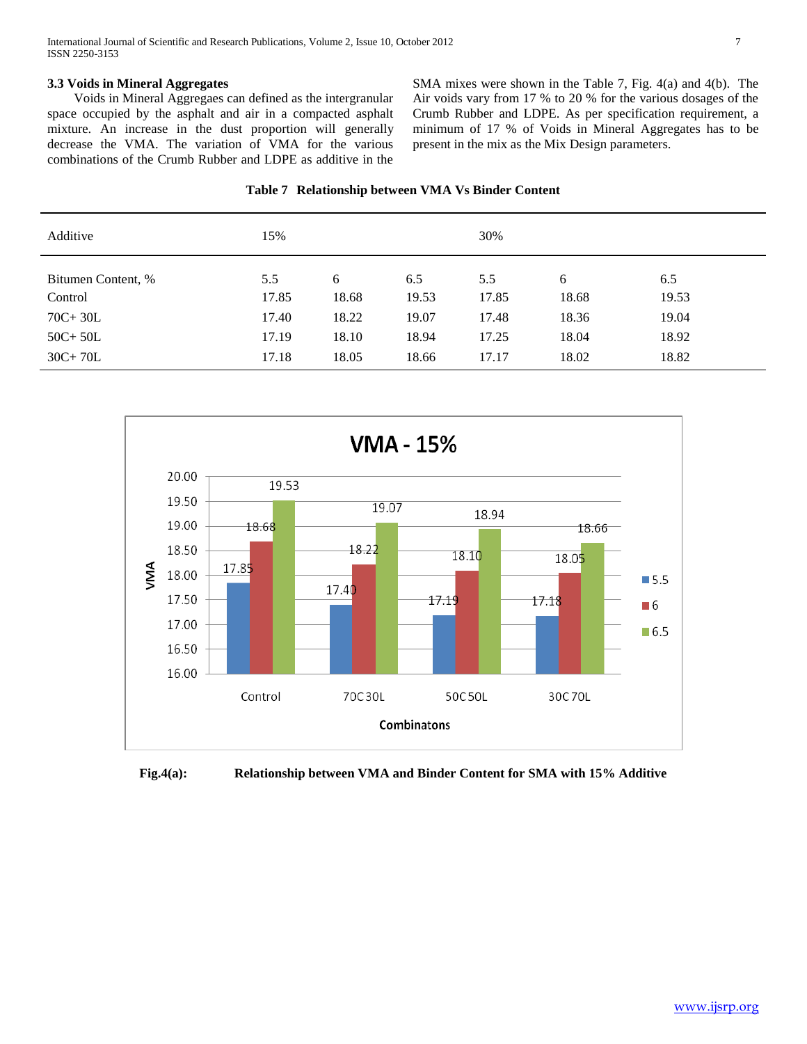### **3.3 Voids in Mineral Aggregates**

 Voids in Mineral Aggregaes can defined as the intergranular space occupied by the asphalt and air in a compacted asphalt mixture. An increase in the dust proportion will generally decrease the VMA. The variation of VMA for the various combinations of the Crumb Rubber and LDPE as additive in the SMA mixes were shown in the Table 7, Fig. 4(a) and 4(b). The Air voids vary from 17 % to 20 % for the various dosages of the Crumb Rubber and LDPE. As per specification requirement, a minimum of 17 % of Voids in Mineral Aggregates has to be present in the mix as the Mix Design parameters.

|  | Table 7 Relationship between VMA Vs Binder Content |  |  |  |  |
|--|----------------------------------------------------|--|--|--|--|
|--|----------------------------------------------------|--|--|--|--|

| Additive           | 15%   |       |       | 30%   |       |       |
|--------------------|-------|-------|-------|-------|-------|-------|
| Bitumen Content, % | 5.5   | 6     | 6.5   | 5.5   | 6     | 6.5   |
| Control            | 17.85 | 18.68 | 19.53 | 17.85 | 18.68 | 19.53 |
| $70C + 30L$        | 17.40 | 18.22 | 19.07 | 17.48 | 18.36 | 19.04 |
| $50C + 50L$        | 17.19 | 18.10 | 18.94 | 17.25 | 18.04 | 18.92 |
| $30C + 70L$        | 17.18 | 18.05 | 18.66 | 17.17 | 18.02 | 18.82 |



**Fig.4(a): Relationship between VMA and Binder Content for SMA with 15% Additive**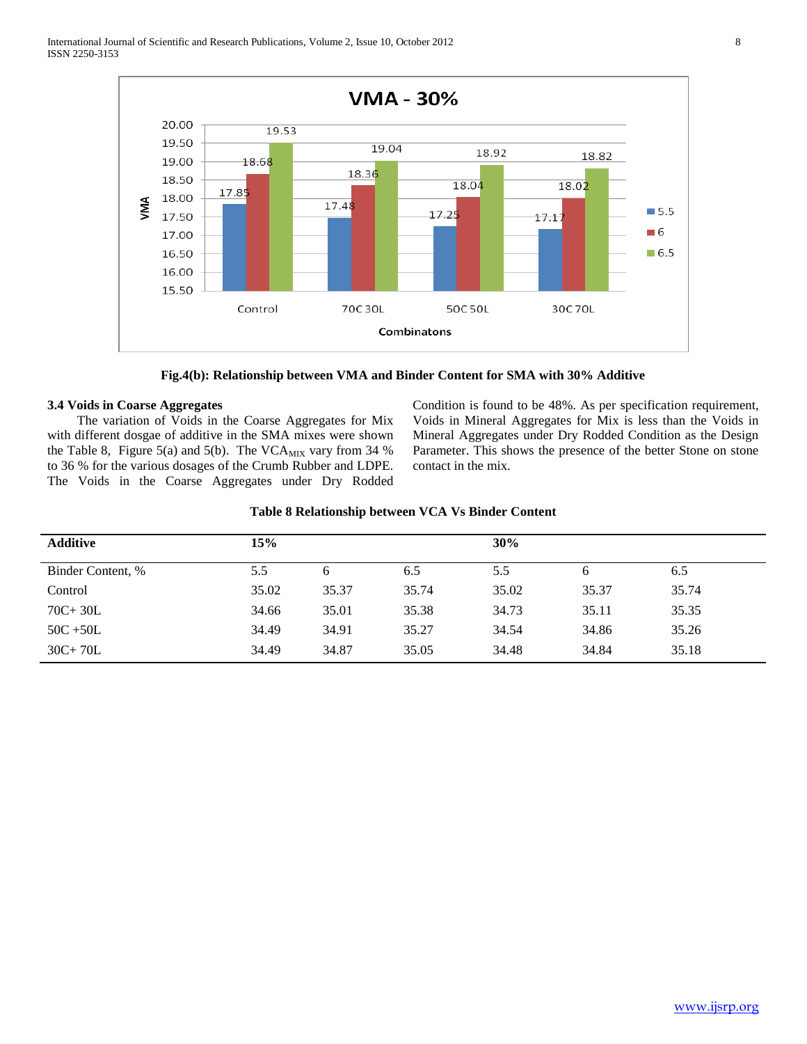

**Fig.4(b): Relationship between VMA and Binder Content for SMA with 30% Additive**

## **3.4 Voids in Coarse Aggregates**

 The variation of Voids in the Coarse Aggregates for Mix with different dosgae of additive in the SMA mixes were shown the Table 8, Figure 5(a) and 5(b). The VCA $_{\text{MIX}}$  vary from 34 % to 36 % for the various dosages of the Crumb Rubber and LDPE. The Voids in the Coarse Aggregates under Dry Rodded Condition is found to be 48%. As per specification requirement, Voids in Mineral Aggregates for Mix is less than the Voids in Mineral Aggregates under Dry Rodded Condition as the Design Parameter. This shows the presence of the better Stone on stone contact in the mix.

| Table 8 Relationship between VCA Vs Binder Content |
|----------------------------------------------------|
|----------------------------------------------------|

| <b>Additive</b>   | 15%   |       |       | 30%   |       |       |
|-------------------|-------|-------|-------|-------|-------|-------|
| Binder Content, % | 5.5   | 6     | 6.5   | 5.5   | 6     | 6.5   |
| Control           | 35.02 | 35.37 | 35.74 | 35.02 | 35.37 | 35.74 |
| $70C + 30L$       | 34.66 | 35.01 | 35.38 | 34.73 | 35.11 | 35.35 |
| $50C + 50L$       | 34.49 | 34.91 | 35.27 | 34.54 | 34.86 | 35.26 |
| $30C + 70L$       | 34.49 | 34.87 | 35.05 | 34.48 | 34.84 | 35.18 |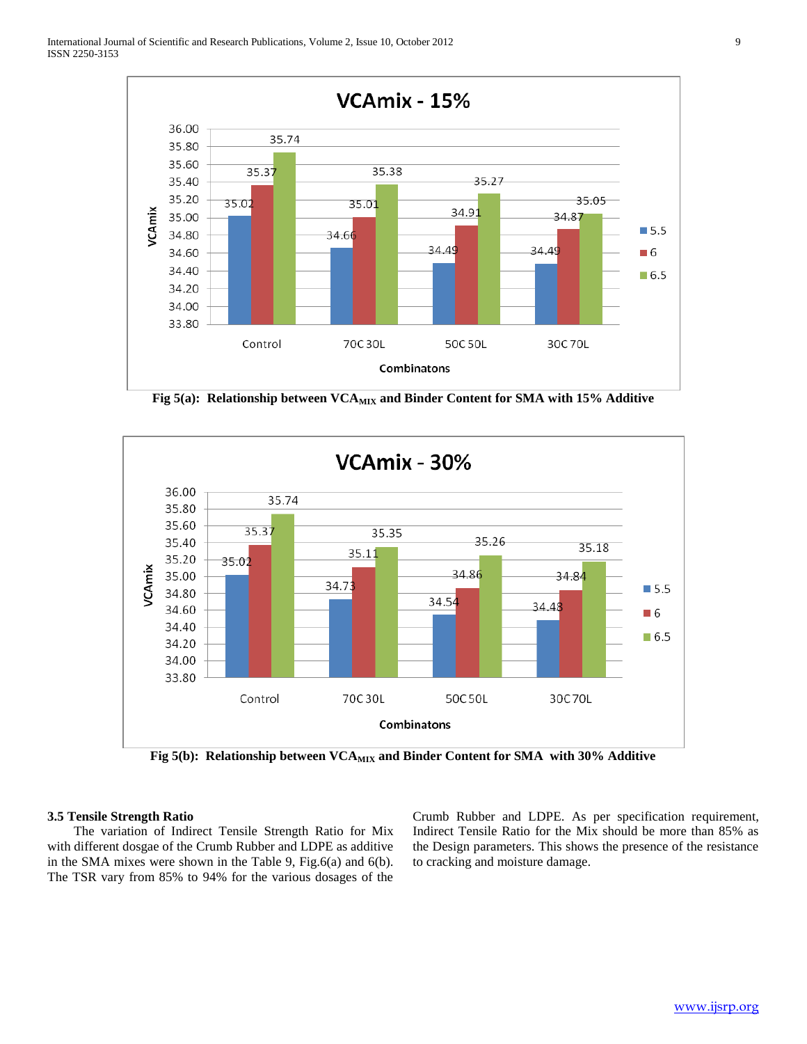

Fig 5(a): Relationship between VCA<sub>MIX</sub> and Binder Content for SMA with 15% Additive



Fig 5(b): Relationship between VCA<sub>MIX</sub> and Binder Content for SMA with 30% Additive

#### **3.5 Tensile Strength Ratio**

 The variation of Indirect Tensile Strength Ratio for Mix with different dosgae of the Crumb Rubber and LDPE as additive in the SMA mixes were shown in the Table 9, Fig.6(a) and 6(b). The TSR vary from 85% to 94% for the various dosages of the

Crumb Rubber and LDPE. As per specification requirement, Indirect Tensile Ratio for the Mix should be more than 85% as the Design parameters. This shows the presence of the resistance to cracking and moisture damage.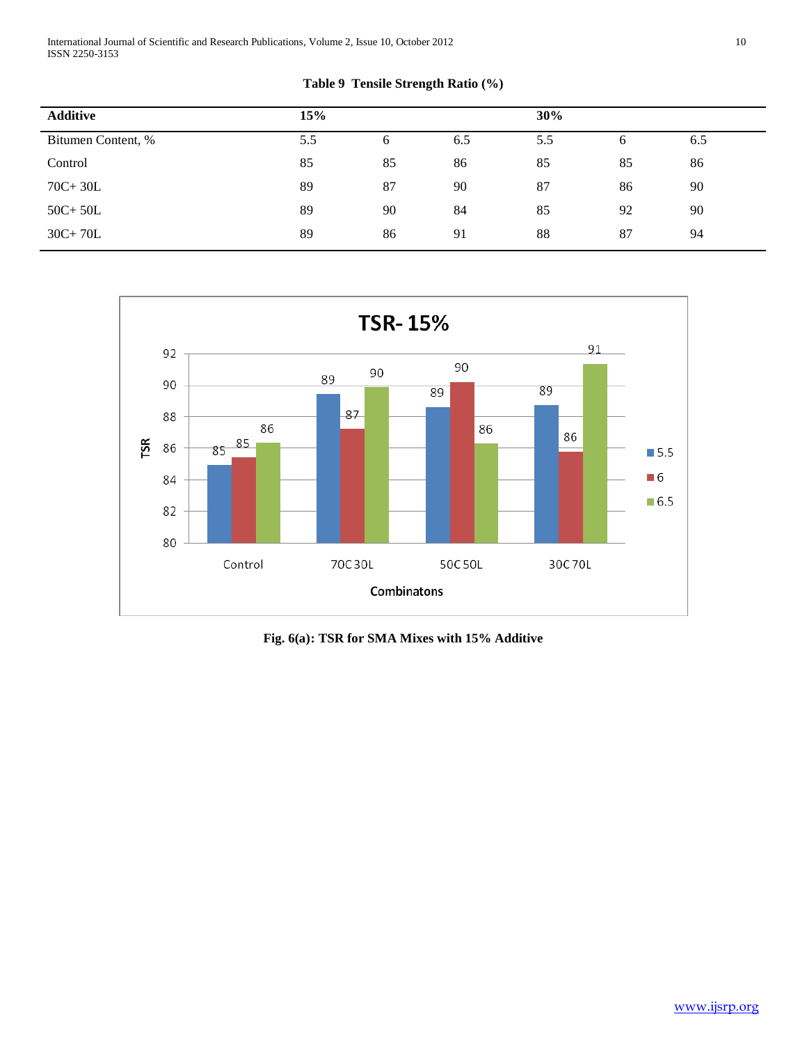International Journal of Scientific and Research Publications, Volume 2, Issue 10, October 2012 10 ISSN 2250-3153

## **Table 9 Tensile Strength Ratio (%)**

| <b>Additive</b>    | 15% |    |     | 30% |    |     |
|--------------------|-----|----|-----|-----|----|-----|
| Bitumen Content, % | 5.5 | 6  | 6.5 | 5.5 | 6  | 6.5 |
| Control            | 85  | 85 | 86  | 85  | 85 | 86  |
| $70C + 30L$        | 89  | 87 | 90  | 87  | 86 | 90  |
| $50C + 50L$        | 89  | 90 | 84  | 85  | 92 | 90  |
| $30C+70L$          | 89  | 86 | 91  | 88  | 87 | 94  |



**Fig. 6(a): TSR for SMA Mixes with 15% Additive**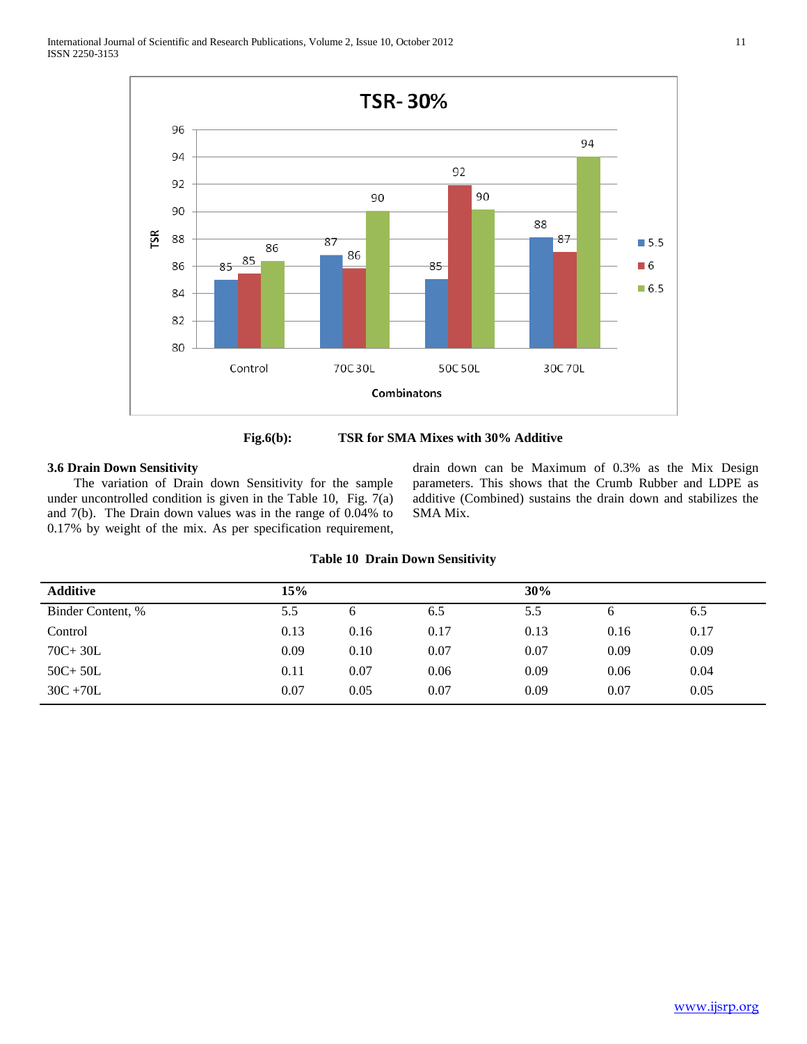





#### **3.6 Drain Down Sensitivity**

 The variation of Drain down Sensitivity for the sample under uncontrolled condition is given in the Table 10, Fig. 7(a) and 7(b). The Drain down values was in the range of 0.04% to 0.17% by weight of the mix. As per specification requirement, drain down can be Maximum of 0.3% as the Mix Design parameters. This shows that the Crumb Rubber and LDPE as additive (Combined) sustains the drain down and stabilizes the SMA Mix.

| <b>Table 10 Drain Down Sensitivity</b> |  |  |  |  |
|----------------------------------------|--|--|--|--|
|----------------------------------------|--|--|--|--|

| <b>Additive</b>   | 15%  |      |      | 30%  |      |      |
|-------------------|------|------|------|------|------|------|
| Binder Content, % | 5.5  | 6    | 6.5  | 5.5  | h.   | 6.5  |
| Control           | 0.13 | 0.16 | 0.17 | 0.13 | 0.16 | 0.17 |
| $70C + 30L$       | 0.09 | 0.10 | 0.07 | 0.07 | 0.09 | 0.09 |
| $50C + 50L$       | 0.11 | 0.07 | 0.06 | 0.09 | 0.06 | 0.04 |
| $30C + 70L$       | 0.07 | 0.05 | 0.07 | 0.09 | 0.07 | 0.05 |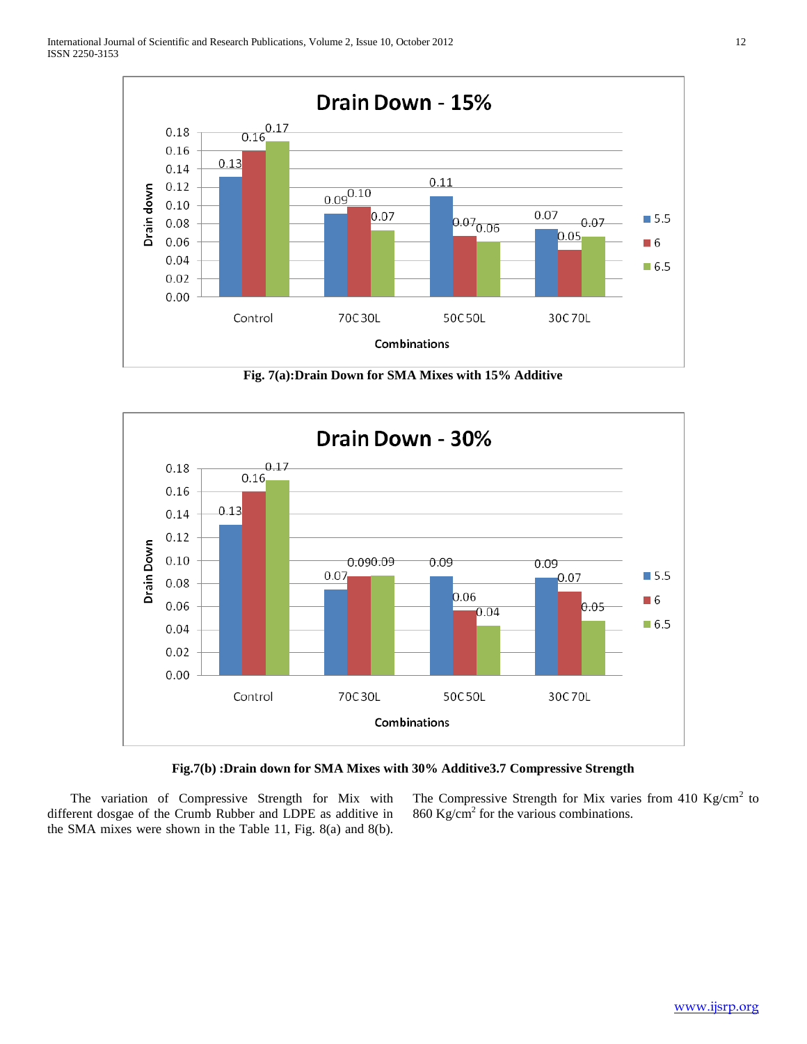

**Fig. 7(a):Drain Down for SMA Mixes with 15% Additive**





 The variation of Compressive Strength for Mix with different dosgae of the Crumb Rubber and LDPE as additive in the SMA mixes were shown in the Table 11, Fig. 8(a) and 8(b).

The Compressive Strength for Mix varies from 410 Kg/cm<sup>2</sup> to  $860 \text{ Kg/cm}^2$  for the various combinations.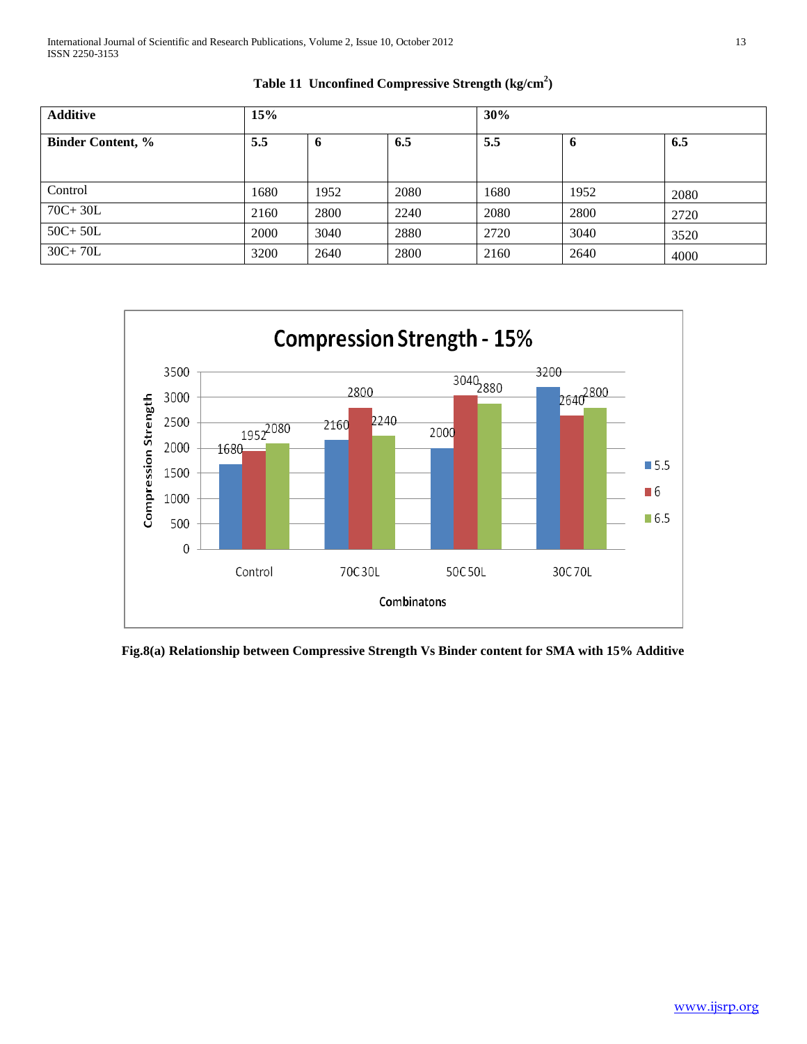| <b>Additive</b>          | 15%  |      |      | 30%  |      |      |
|--------------------------|------|------|------|------|------|------|
| <b>Binder Content, %</b> | 5.5  | -6   | 6.5  | 5.5  | o    | 6.5  |
|                          |      |      |      |      |      |      |
| Control                  | 1680 | 1952 | 2080 | 1680 | 1952 | 2080 |
| $70C + 30L$              | 2160 | 2800 | 2240 | 2080 | 2800 | 2720 |
| $50C+50L$                | 2000 | 3040 | 2880 | 2720 | 3040 | 3520 |
| $30C + 70L$              | 3200 | 2640 | 2800 | 2160 | 2640 | 4000 |





**Fig.8(a) Relationship between Compressive Strength Vs Binder content for SMA with 15% Additive**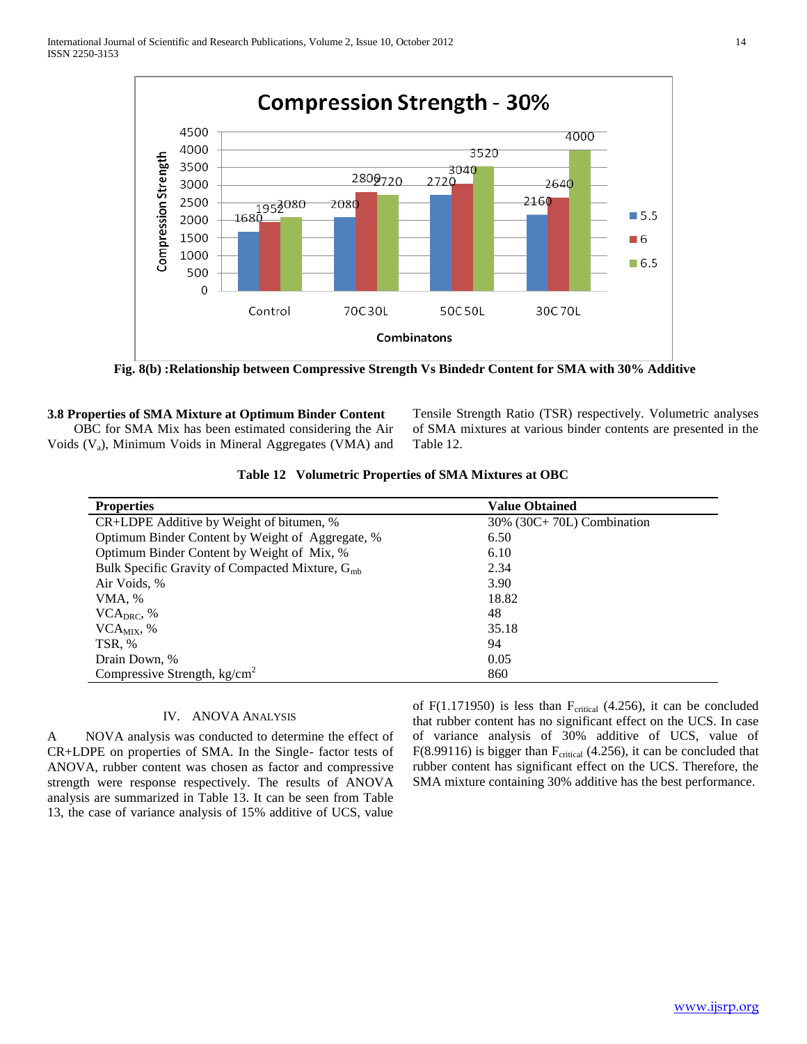

**Fig. 8(b) :Relationship between Compressive Strength Vs Bindedr Content for SMA with 30% Additive**

#### **3.8 Properties of SMA Mixture at Optimum Binder Content**

 OBC for SMA Mix has been estimated considering the Air Voids  $(V_a)$ , Minimum Voids in Mineral Aggregates (VMA) and Tensile Strength Ratio (TSR) respectively. Volumetric analyses of SMA mixtures at various binder contents are presented in the Table 12.

|  | Table 12 Volumetric Properties of SMA Mixtures at OBC |  |
|--|-------------------------------------------------------|--|
|--|-------------------------------------------------------|--|

| <b>Properties</b>                                           | <b>Value Obtained</b>     |
|-------------------------------------------------------------|---------------------------|
| CR+LDPE Additive by Weight of bitumen, %                    | 30% (30C+70L) Combination |
| Optimum Binder Content by Weight of Aggregate, %            | 6.50                      |
| Optimum Binder Content by Weight of Mix, %                  | 6.10                      |
| Bulk Specific Gravity of Compacted Mixture, G <sub>mb</sub> | 2.34                      |
| Air Voids, %                                                | 3.90                      |
| VMA, %                                                      | 18.82                     |
| $VCA_{DRC}$ , %                                             | 48                        |
| $VCA_{MIX}$ , %                                             | 35.18                     |
| TSR, %                                                      | 94                        |
| Drain Down, %                                               | 0.05                      |
| Compressive Strength, $kg/cm2$                              | 860                       |

#### IV. ANOVA ANALYSIS

A NOVA analysis was conducted to determine the effect of CR+LDPE on properties of SMA. In the Single- factor tests of ANOVA, rubber content was chosen as factor and compressive strength were response respectively. The results of ANOVA analysis are summarized in Table 13. It can be seen from Table 13, the case of variance analysis of 15% additive of UCS, value

of  $F(1.171950)$  is less than  $F<sub>critical</sub>$  (4.256), it can be concluded that rubber content has no significant effect on the UCS. In case of variance analysis of 30% additive of UCS, value of  $F(8.99116)$  is bigger than  $F_{critical}$  (4.256), it can be concluded that rubber content has significant effect on the UCS. Therefore, the SMA mixture containing 30% additive has the best performance.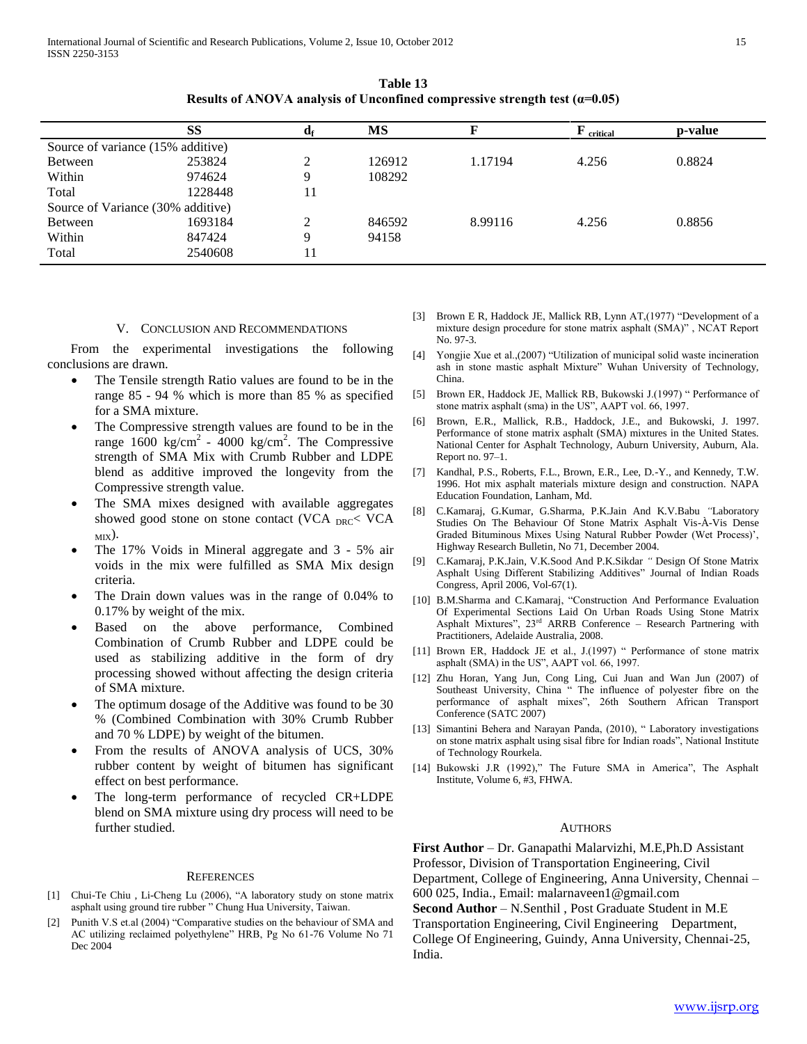**Table 13 Results of ANOVA analysis of Unconfined compressive strength test**  $(a=0.05)$ 

|                                   | SS      | ағ            | MS     |         | $\mathbf{F}$ critical | p-value |
|-----------------------------------|---------|---------------|--------|---------|-----------------------|---------|
| Source of variance (15% additive) |         |               |        |         |                       |         |
| <b>Between</b>                    | 253824  | ◠             | 126912 | 1.17194 | 4.256                 | 0.8824  |
| Within                            | 974624  | Q             | 108292 |         |                       |         |
| Total                             | 1228448 | 11            |        |         |                       |         |
| Source of Variance (30% additive) |         |               |        |         |                       |         |
| <b>Between</b>                    | 1693184 | $\mathcal{D}$ | 846592 | 8.99116 | 4.256                 | 0.8856  |
| Within                            | 847424  | Q             | 94158  |         |                       |         |
| Total                             | 2540608 | 11            |        |         |                       |         |

#### V. CONCLUSION AND RECOMMENDATIONS

 From the experimental investigations the following conclusions are drawn.

- The Tensile strength Ratio values are found to be in the range 85 - 94 % which is more than 85 % as specified for a SMA mixture.
- The Compressive strength values are found to be in the range  $1600 \text{ kg/cm}^2$  -  $4000 \text{ kg/cm}^2$ . The Compressive strength of SMA Mix with Crumb Rubber and LDPE blend as additive improved the longevity from the Compressive strength value.
- The SMA mixes designed with available aggregates showed good stone on stone contact (VCA  $_{DRC}$ < VCA  $MIX$ ).
- The 17% Voids in Mineral aggregate and 3 5% air voids in the mix were fulfilled as SMA Mix design criteria.
- The Drain down values was in the range of 0.04% to 0.17% by weight of the mix.
- Based on the above performance, Combined Combination of Crumb Rubber and LDPE could be used as stabilizing additive in the form of dry processing showed without affecting the design criteria of SMA mixture.
- The optimum dosage of the Additive was found to be 30 % (Combined Combination with 30% Crumb Rubber and 70 % LDPE) by weight of the bitumen.
- From the results of ANOVA analysis of UCS, 30% rubber content by weight of bitumen has significant effect on best performance.
- The long-term performance of recycled CR+LDPE blend on SMA mixture using dry process will need to be further studied.

#### **REFERENCES**

- [1] Chui-Te Chiu, Li-Cheng Lu (2006), "A laboratory study on stone matrix asphalt using ground tire rubber " Chung Hua University, Taiwan.
- [2] Punith V.S et.al (2004) "Comparative studies on the behaviour of SMA and AC utilizing reclaimed polyethylene" HRB, Pg No 61-76 Volume No 71 Dec 2004
- [3] Brown E R, Haddock JE, Mallick RB, Lynn AT,(1977) "Development of a mixture design procedure for stone matrix asphalt (SMA)" , NCAT Report No. 97-3.
- [4] Yongjie Xue et al.,(2007) "Utilization of municipal solid waste incineration ash in stone mastic asphalt Mixture" Wuhan University of Technology, China.
- [5] Brown ER, Haddock JE, Mallick RB, Bukowski J.(1997) " Performance of stone matrix asphalt (sma) in the US", AAPT vol. 66, 1997.
- [6] Brown, E.R., Mallick, R.B., Haddock, J.E., and Bukowski, J. 1997. Performance of stone matrix asphalt (SMA) mixtures in the United States. National Center for Asphalt Technology, Auburn University, Auburn, Ala. Report no. 97–1.
- [7] Kandhal, P.S., Roberts, F.L., Brown, E.R., Lee, D.-Y., and Kennedy, T.W. 1996. Hot mix asphalt materials mixture design and construction. NAPA Education Foundation, Lanham, Md.
- [8] C.Kamaraj, G.Kumar, G.Sharma, P.K.Jain And K.V.Babu *"*Laboratory Studies On The Behaviour Of Stone Matrix Asphalt Vis-À-Vis Dense Graded Bituminous Mixes Using Natural Rubber Powder (Wet Process)', Highway Research Bulletin, No 71, December 2004.
- [9] C.Kamaraj, P.K.Jain, V.K.Sood And P.K.Sikdar *"* Design Of Stone Matrix Asphalt Using Different Stabilizing Additives" Journal of Indian Roads Congress, April 2006, Vol-67(1).
- [10] B.M.Sharma and C.Kamaraj, "Construction And Performance Evaluation Of Experimental Sections Laid On Urban Roads Using Stone Matrix Asphalt Mixtures", 23rd ARRB Conference – Research Partnering with Practitioners, Adelaide Australia, 2008.
- [11] Brown ER, Haddock JE et al., J.(1997) " Performance of stone matrix asphalt (SMA) in the US", AAPT vol. 66, 1997.
- [12] Zhu Horan, Yang Jun, Cong Ling, Cui Juan and Wan Jun (2007) of Southeast University, China " The influence of polyester fibre on the performance of asphalt mixes", 26th Southern African Transport Conference (SATC 2007)
- [13] Simantini Behera and Narayan Panda, (2010), " Laboratory investigations on stone matrix asphalt using sisal fibre for Indian roads", National Institute of Technology Rourkela.
- [14] Bukowski J.R (1992)," The Future SMA in America", The Asphalt Institute, Volume 6, #3, FHWA.

#### AUTHORS

**First Author** – Dr. Ganapathi Malarvizhi, M.E,Ph.D Assistant Professor, Division of Transportation Engineering, Civil Department, College of Engineering, Anna University, Chennai – 600 025, India., Email: malarnaveen1@gmail.com **Second Author** – N.Senthil , Post Graduate Student in M.E

Transportation Engineering, Civil Engineering Department, College Of Engineering, Guindy, Anna University, Chennai-25, India.